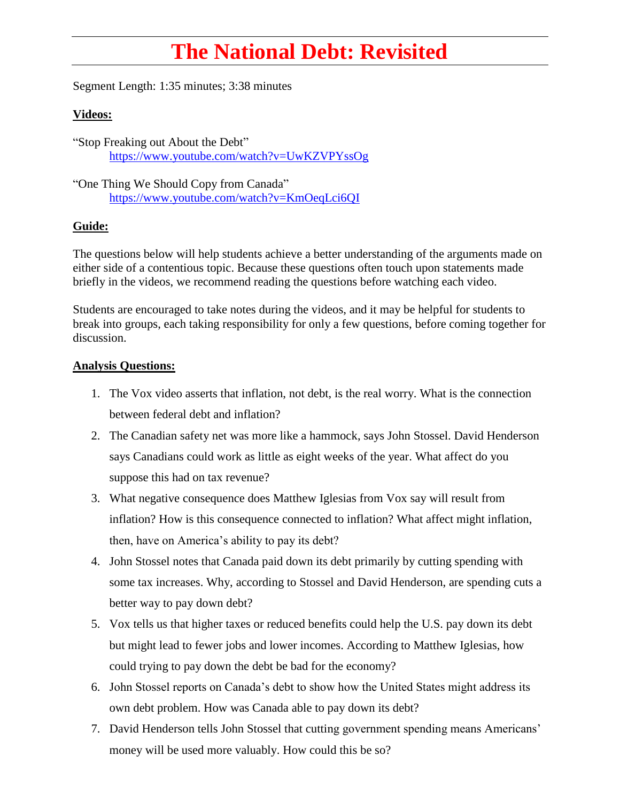## **The National Debt: Revisited**

Segment Length: 1:35 minutes; 3:38 minutes

## **Videos:**

"Stop Freaking out About the Debt" <https://www.youtube.com/watch?v=UwKZVPYssOg>

"One Thing We Should Copy from Canada" <https://www.youtube.com/watch?v=KmOeqLci6QI>

## **Guide:**

The questions below will help students achieve a better understanding of the arguments made on either side of a contentious topic. Because these questions often touch upon statements made briefly in the videos, we recommend reading the questions before watching each video.

Students are encouraged to take notes during the videos, and it may be helpful for students to break into groups, each taking responsibility for only a few questions, before coming together for discussion.

## **Analysis Questions:**

- 1. The Vox video asserts that inflation, not debt, is the real worry. What is the connection between federal debt and inflation?
- 2. The Canadian safety net was more like a hammock, says John Stossel. David Henderson says Canadians could work as little as eight weeks of the year. What affect do you suppose this had on tax revenue?
- 3. What negative consequence does Matthew Iglesias from Vox say will result from inflation? How is this consequence connected to inflation? What affect might inflation, then, have on America's ability to pay its debt?
- 4. John Stossel notes that Canada paid down its debt primarily by cutting spending with some tax increases. Why, according to Stossel and David Henderson, are spending cuts a better way to pay down debt?
- 5. Vox tells us that higher taxes or reduced benefits could help the U.S. pay down its debt but might lead to fewer jobs and lower incomes. According to Matthew Iglesias, how could trying to pay down the debt be bad for the economy?
- 6. John Stossel reports on Canada's debt to show how the United States might address its own debt problem. How was Canada able to pay down its debt?
- 7. David Henderson tells John Stossel that cutting government spending means Americans' money will be used more valuably. How could this be so?